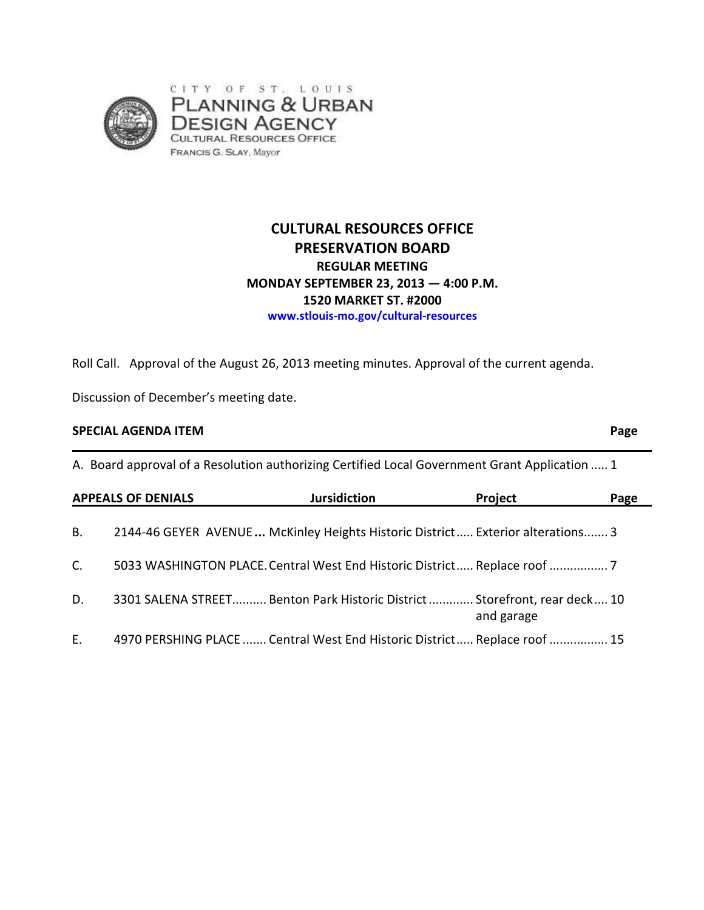

# **CULTURAL RESOURCES OFFICE PRESERVATION BOARD REGULAR MEETING MONDAY SEPTEMBER 23, 2013 — 4:00 P.M. 1520 MARKET ST. #2000 www.stlouis-mo.gov/cultural-resources**

Roll Call. Approval of the August 26, 2013 meeting minutes. Approval of the current agenda.

Discussion of December's meeting date.

### **SPECIAL AGENDA ITEM Page**

A. Board approval of a Resolution authorizing Certified Local Government Grant Application ..... 1

|             | <b>APPEALS OF DENIALS</b>                                                      | <b>Jursidiction</b> | Project    | Page |
|-------------|--------------------------------------------------------------------------------|---------------------|------------|------|
| В.          | 2144-46 GEYER AVENUE McKinley Heights Historic District Exterior alterations 3 |                     |            |      |
| $C_{\cdot}$ | 5033 WASHINGTON PLACE. Central West End Historic District Replace roof  7      |                     |            |      |
| D.          | 3301 SALENA STREET Benton Park Historic District  Storefront, rear deck 10     |                     | and garage |      |
| Ε.          | 4970 PERSHING PLACE  Central West End Historic District Replace roof  15       |                     |            |      |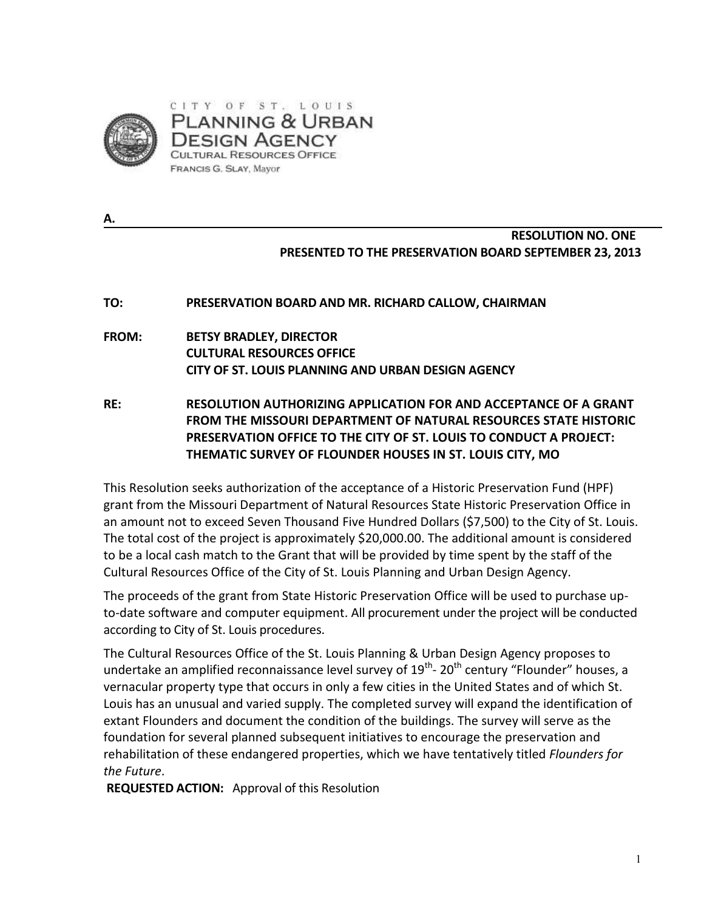

**A.** 

## **RESOLUTION NO. ONE PRESENTED TO THE PRESERVATION BOARD SEPTEMBER 23, 2013**

## **TO: PRESERVATION BOARD AND MR. RICHARD CALLOW, CHAIRMAN**

## **FROM: BETSY BRADLEY, DIRECTOR CULTURAL RESOURCES OFFICE CITY OF ST. LOUIS PLANNING AND URBAN DESIGN AGENCY**

**RE: RESOLUTION AUTHORIZING APPLICATION FOR AND ACCEPTANCE OF A GRANT FROM THE MISSOURI DEPARTMENT OF NATURAL RESOURCES STATE HISTORIC PRESERVATION OFFICE TO THE CITY OF ST. LOUIS TO CONDUCT A PROJECT: THEMATIC SURVEY OF FLOUNDER HOUSES IN ST. LOUIS CITY, MO**

This Resolution seeks authorization of the acceptance of a Historic Preservation Fund (HPF) grant from the Missouri Department of Natural Resources State Historic Preservation Office in an amount not to exceed Seven Thousand Five Hundred Dollars (\$7,500) to the City of St. Louis. The total cost of the project is approximately \$20,000.00. The additional amount is considered to be a local cash match to the Grant that will be provided by time spent by the staff of the Cultural Resources Office of the City of St. Louis Planning and Urban Design Agency.

The proceeds of the grant from State Historic Preservation Office will be used to purchase upto-date software and computer equipment. All procurement under the project will be conducted according to City of St. Louis procedures.

The Cultural Resources Office of the St. Louis Planning & Urban Design Agency proposes to undertake an amplified reconnaissance level survey of  $19^{th}$ - 20<sup>th</sup> century "Flounder" houses, a vernacular property type that occurs in only a few cities in the United States and of which St. Louis has an unusual and varied supply. The completed survey will expand the identification of extant Flounders and document the condition of the buildings. The survey will serve as the foundation for several planned subsequent initiatives to encourage the preservation and rehabilitation of these endangered properties, which we have tentatively titled *Flounders for the Future*.

**REQUESTED ACTION:** Approval of this Resolution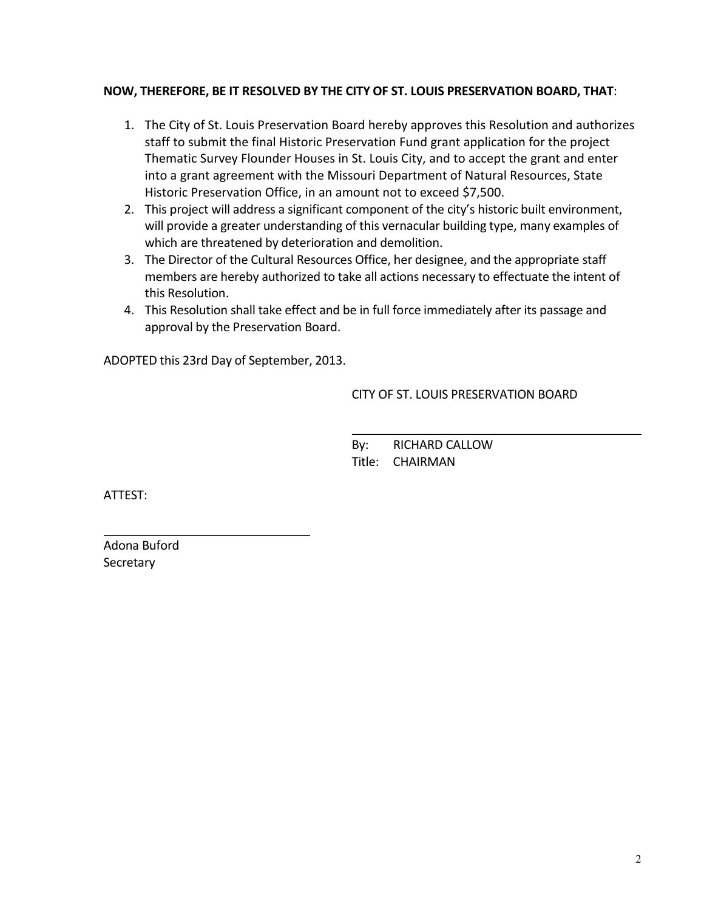## **NOW, THEREFORE, BE IT RESOLVED BY THE CITY OF ST. LOUIS PRESERVATION BOARD, THAT**:

- 1. The City of St. Louis Preservation Board hereby approves this Resolution and authorizes staff to submit the final Historic Preservation Fund grant application for the project Thematic Survey Flounder Houses in St. Louis City, and to accept the grant and enter into a grant agreement with the Missouri Department of Natural Resources, State Historic Preservation Office, in an amount not to exceed \$7,500.
- 2. This project will address a significant component of the city's historic built environment, will provide a greater understanding of this vernacular building type, many examples of which are threatened by deterioration and demolition.
- 3. The Director of the Cultural Resources Office, her designee, and the appropriate staff members are hereby authorized to take all actions necessary to effectuate the intent of this Resolution.
- 4. This Resolution shall take effect and be in full force immediately after its passage and approval by the Preservation Board.

ADOPTED this 23rd Day of September, 2013.

CITY OF ST. LOUIS PRESERVATION BOARD

 By: RICHARD CALLOW Title: CHAIRMAN

ATTEST:

l

Adona Buford **Secretary**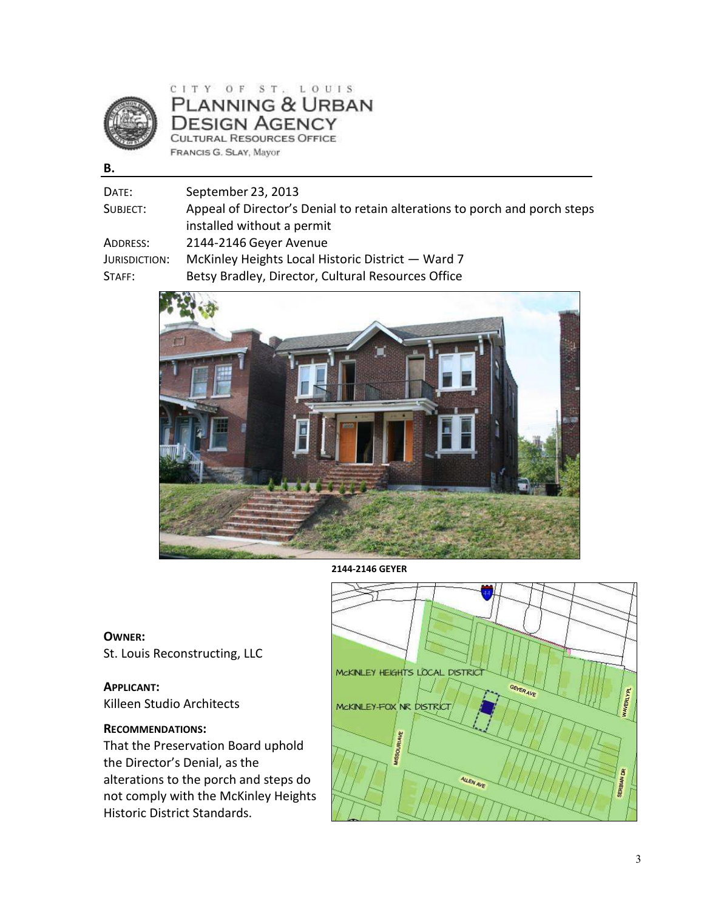

## $CITY OF ST. LO UIS$ PLANNING & URBAN **DESIGN AGENCY** CULTURAL RESOURCES OFFICE FRANCIS G. SLAY, Mayor

**B.** 

| September 23, 2013                                                         |
|----------------------------------------------------------------------------|
| Appeal of Director's Denial to retain alterations to porch and porch steps |
| installed without a permit                                                 |
| 2144-2146 Geyer Avenue                                                     |
| McKinley Heights Local Historic District - Ward 7                          |
| Betsy Bradley, Director, Cultural Resources Office                         |
|                                                                            |



**2144-2146 GEYER** 

#### **OWNER:**

St. Louis Reconstructing, LLC

### **APPLICANT:** Killeen Studio Architects

### **RECOMMENDATIONS:**

That the Preservation Board uphold the Director's Denial, as the alterations to the porch and steps do not comply with the McKinley Heights Historic District Standards.

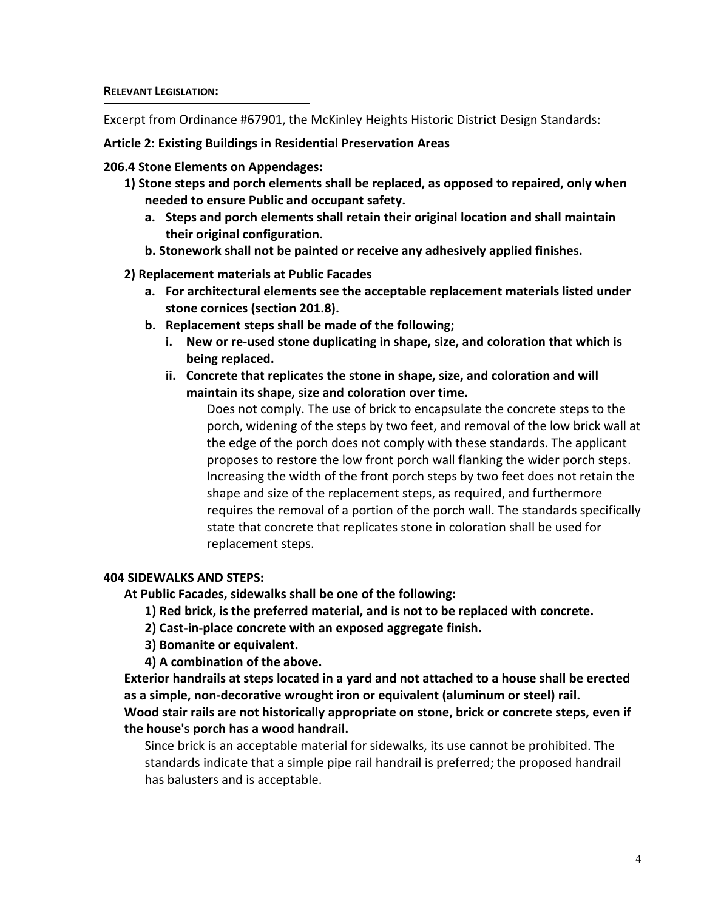Excerpt from Ordinance #67901, the McKinley Heights Historic District Design Standards:

**Article 2: Existing Buildings in Residential Preservation Areas** 

**206.4 Stone Elements on Appendages:** 

- **1) Stone steps and porch elements shall be replaced, as opposed to repaired, only when needed to ensure Public and occupant safety.** 
	- **a. Steps and porch elements shall retain their original location and shall maintain their original configuration.**
	- **b. Stonework shall not be painted or receive any adhesively applied finishes.**

**2) Replacement materials at Public Facades** 

- **a. For architectural elements see the acceptable replacement materials listed under stone cornices (section 201.8).**
- **b. Replacement steps shall be made of the following;** 
	- **i. New or re-used stone duplicating in shape, size, and coloration that which is being replaced.**
	- **ii. Concrete that replicates the stone in shape, size, and coloration and will maintain its shape, size and coloration over time.**

Does not comply. The use of brick to encapsulate the concrete steps to the porch, widening of the steps by two feet, and removal of the low brick wall at the edge of the porch does not comply with these standards. The applicant proposes to restore the low front porch wall flanking the wider porch steps. Increasing the width of the front porch steps by two feet does not retain the shape and size of the replacement steps, as required, and furthermore requires the removal of a portion of the porch wall. The standards specifically state that concrete that replicates stone in coloration shall be used for replacement steps.

## **404 SIDEWALKS AND STEPS:**

**At Public Facades, sidewalks shall be one of the following:** 

- **1) Red brick, is the preferred material, and is not to be replaced with concrete.**
- **2) Cast-in-place concrete with an exposed aggregate finish.**
- **3) Bomanite or equivalent.**
- **4) A combination of the above.**

**Exterior handrails at steps located in a yard and not attached to a house shall be erected as a simple, non-decorative wrought iron or equivalent (aluminum or steel) rail. Wood stair rails are not historically appropriate on stone, brick or concrete steps, even if** 

## **the house's porch has a wood handrail.**

Since brick is an acceptable material for sidewalks, its use cannot be prohibited. The standards indicate that a simple pipe rail handrail is preferred; the proposed handrail has balusters and is acceptable.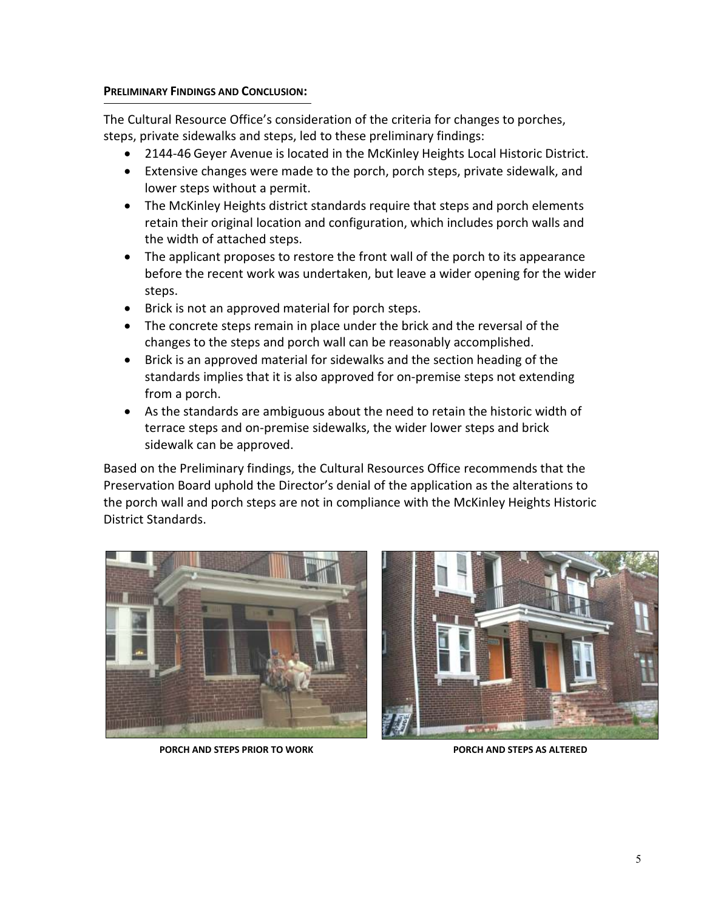### **PRELIMINARY FINDINGS AND CONCLUSION:**

The Cultural Resource Office's consideration of the criteria for changes to porches, steps, private sidewalks and steps, led to these preliminary findings:

- 2144-46 Geyer Avenue is located in the McKinley Heights Local Historic District.
- Extensive changes were made to the porch, porch steps, private sidewalk, and lower steps without a permit.
- The McKinley Heights district standards require that steps and porch elements retain their original location and configuration, which includes porch walls and the width of attached steps.
- The applicant proposes to restore the front wall of the porch to its appearance before the recent work was undertaken, but leave a wider opening for the wider steps.
- Brick is not an approved material for porch steps.
- The concrete steps remain in place under the brick and the reversal of the changes to the steps and porch wall can be reasonably accomplished.
- Brick is an approved material for sidewalks and the section heading of the standards implies that it is also approved for on-premise steps not extending from a porch.
- As the standards are ambiguous about the need to retain the historic width of terrace steps and on-premise sidewalks, the wider lower steps and brick sidewalk can be approved.

Based on the Preliminary findings, the Cultural Resources Office recommends that the Preservation Board uphold the Director's denial of the application as the alterations to the porch wall and porch steps are not in compliance with the McKinley Heights Historic District Standards.





**PORCH AND STEPS PRIOR TO WORK PORCH AND STEPS AS ALTERED**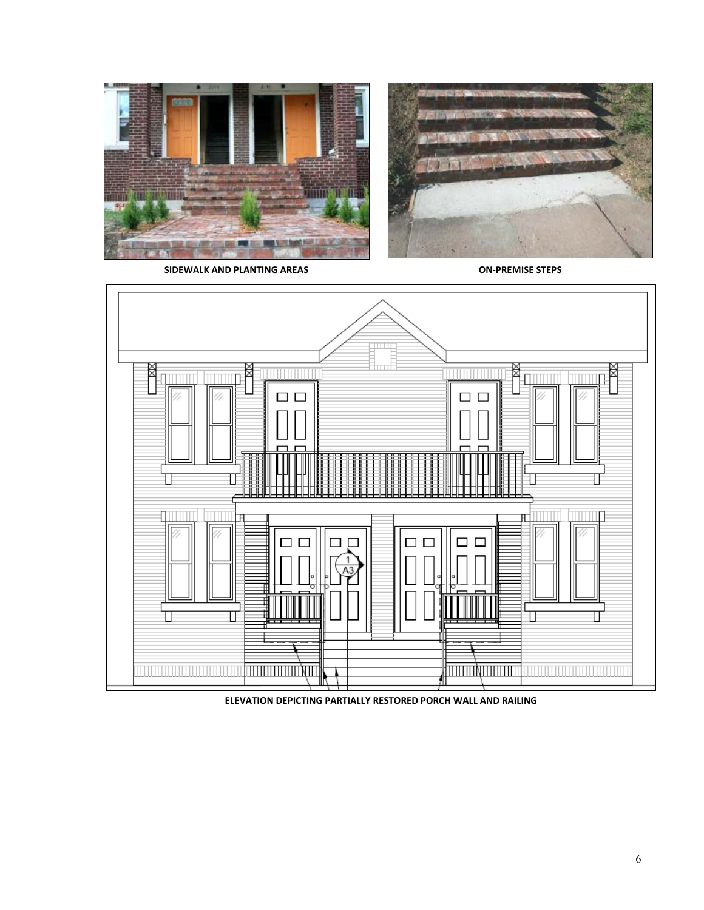



**SIDEWALK AND PLANTING AREAS ON-PREMISE STEPS** 



**ELEVATION DEPICTING PARTIALLY RESTORED PORCH WALL AND RAILING**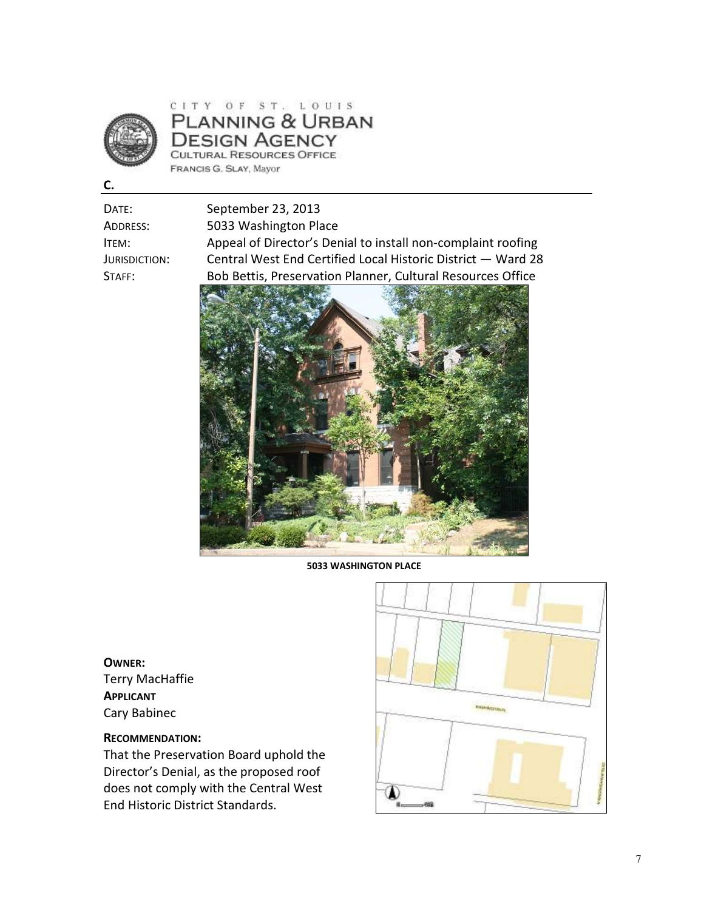

## CITY OF ST. LOUIS PLANNING & URBAN **DESIGN AGENCY** CULTURAL RESOURCES OFFICE FRANCIS G. SLAY, Mayor

**C.** 

DATE: September 23, 2013 ADDRESS: 5033 Washington Place ITEM: Appeal of Director's Denial to install non-complaint roofing JURISDICTION: Central West End Certified Local Historic District — Ward 28 STAFF: Bob Bettis, Preservation Planner, Cultural Resources Office



**5033 WASHINGTON PLACE** 

**OWNER:**  Terry MacHaffie **APPLICANT** Cary Babinec

## **RECOMMENDATION:**

That the Preservation Board uphold the Director's Denial, as the proposed roof does not comply with the Central West End Historic District Standards.

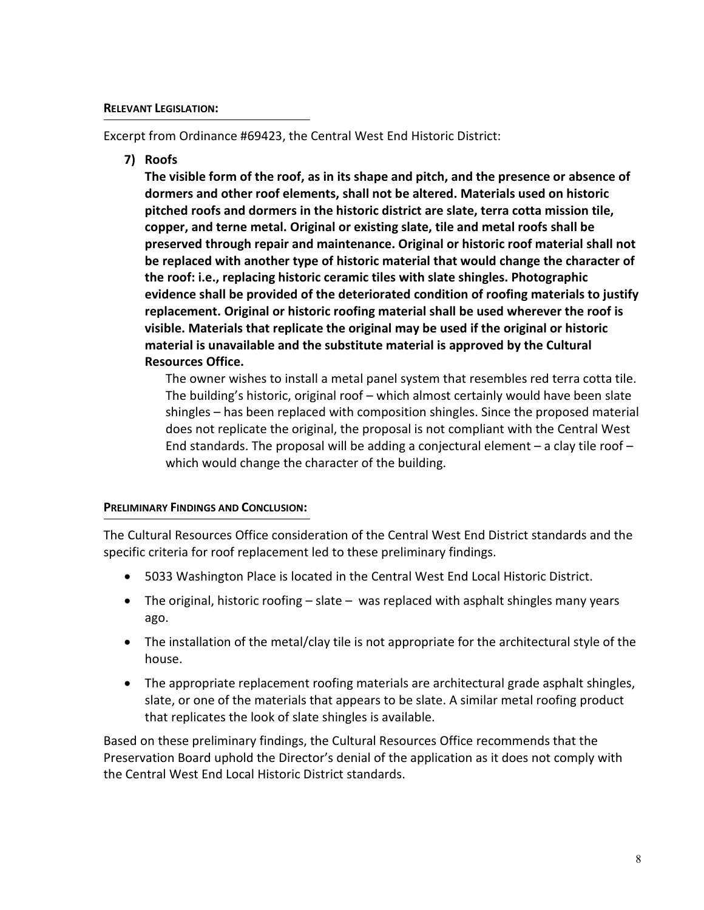Excerpt from Ordinance #69423, the Central West End Historic District:

**7) Roofs** 

**The visible form of the roof, as in its shape and pitch, and the presence or absence of dormers and other roof elements, shall not be altered. Materials used on historic pitched roofs and dormers in the historic district are slate, terra cotta mission tile, copper, and terne metal. Original or existing slate, tile and metal roofs shall be preserved through repair and maintenance. Original or historic roof material shall not be replaced with another type of historic material that would change the character of the roof: i.e., replacing historic ceramic tiles with slate shingles. Photographic evidence shall be provided of the deteriorated condition of roofing materials to justify replacement. Original or historic roofing material shall be used wherever the roof is visible. Materials that replicate the original may be used if the original or historic material is unavailable and the substitute material is approved by the Cultural Resources Office.** 

The owner wishes to install a metal panel system that resembles red terra cotta tile. The building's historic, original roof – which almost certainly would have been slate shingles – has been replaced with composition shingles. Since the proposed material does not replicate the original, the proposal is not compliant with the Central West End standards. The proposal will be adding a conjectural element  $-$  a clay tile roof  $$ which would change the character of the building.

## **PRELIMINARY FINDINGS AND CONCLUSION:**

The Cultural Resources Office consideration of the Central West End District standards and the specific criteria for roof replacement led to these preliminary findings.

- 5033 Washington Place is located in the Central West End Local Historic District.
- The original, historic roofing  $-$  slate  $-$  was replaced with asphalt shingles many years ago.
- The installation of the metal/clay tile is not appropriate for the architectural style of the house.
- The appropriate replacement roofing materials are architectural grade asphalt shingles, slate, or one of the materials that appears to be slate. A similar metal roofing product that replicates the look of slate shingles is available.

Based on these preliminary findings, the Cultural Resources Office recommends that the Preservation Board uphold the Director's denial of the application as it does not comply with the Central West End Local Historic District standards.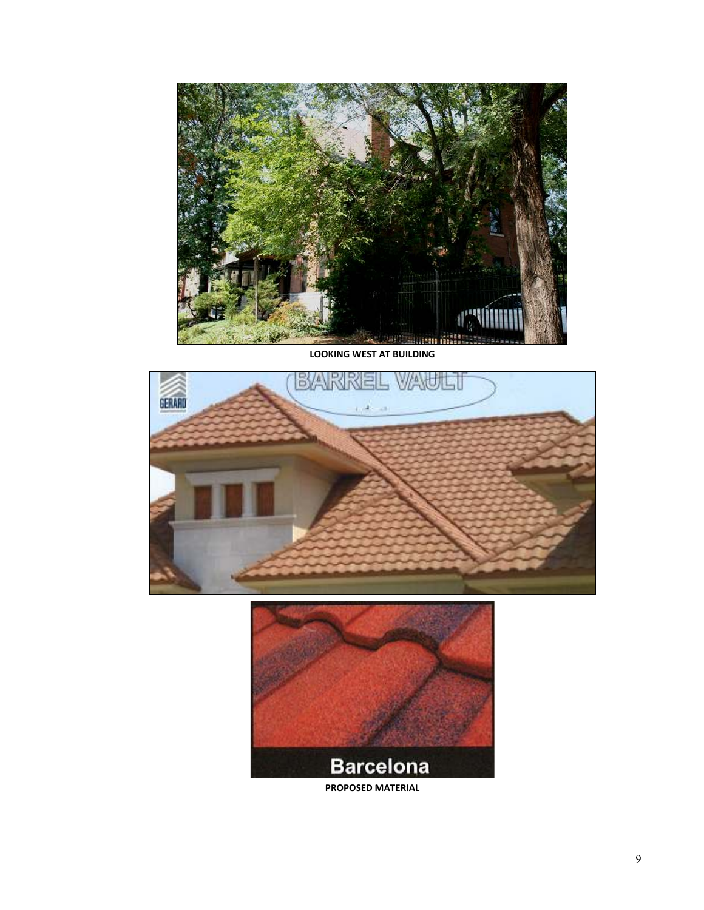

**LOOKING WEST AT BUILDING** 



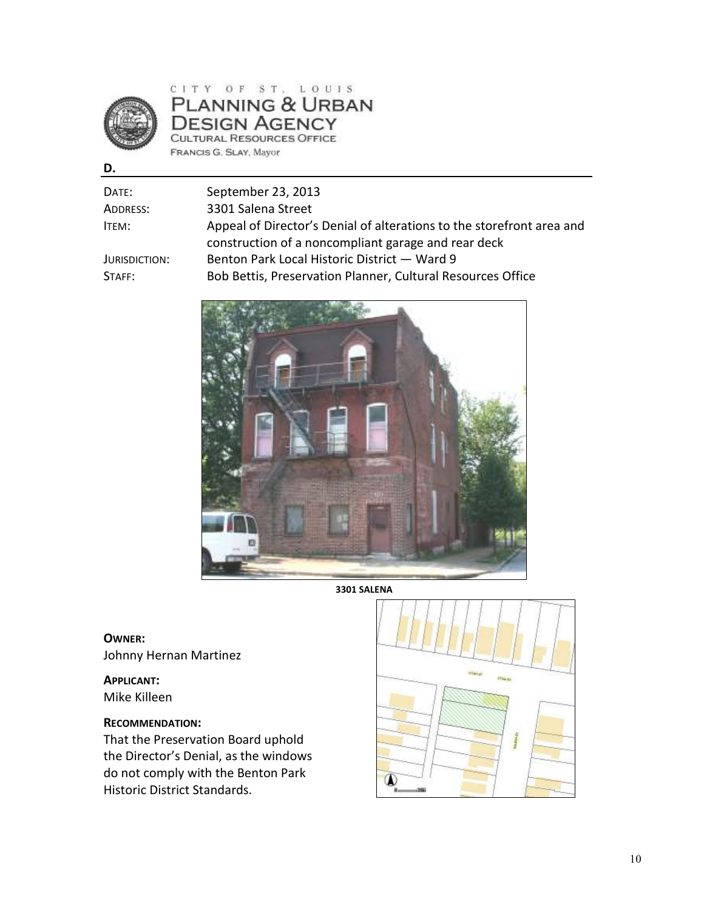

## CITY OF ST. LOUIS PLANNING & URBAN **DESIGN AGENCY** CULTURAL RESOURCES OFFICE FRANCIS G. SLAY, Mayor

**D.** 

| Date:         | September 23, 2013                                                    |
|---------------|-----------------------------------------------------------------------|
| Address:      | 3301 Salena Street                                                    |
| ITEM:         | Appeal of Director's Denial of alterations to the storefront area and |
|               | construction of a noncompliant garage and rear deck                   |
| Jurisdiction: | Benton Park Local Historic District - Ward 9                          |
| STAFF:        | Bob Bettis, Preservation Planner, Cultural Resources Office           |
|               |                                                                       |



**3301 SALENA** 

**OWNER:**  Johnny Hernan Martinez

**APPLICANT:** Mike Killeen

## **RECOMMENDATION:**

That the Preservation Board uphold the Director's Denial, as the windows do not comply with the Benton Park Historic District Standards.

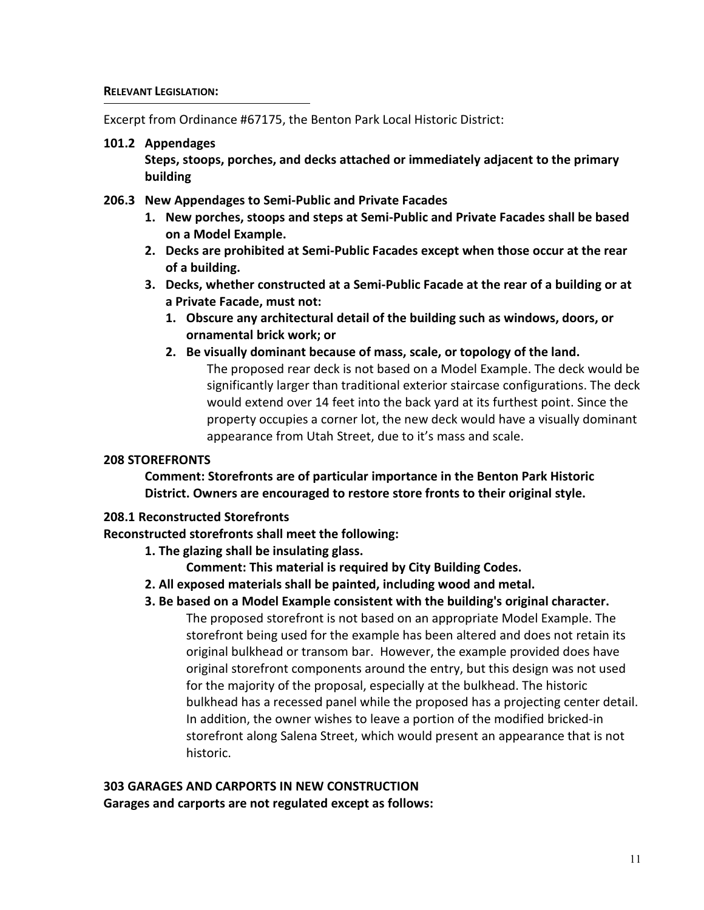Excerpt from Ordinance #67175, the Benton Park Local Historic District:

### **101.2 Appendages**

**Steps, stoops, porches, and decks attached or immediately adjacent to the primary building** 

## **206.3 New Appendages to Semi-Public and Private Facades**

- **1. New porches, stoops and steps at Semi-Public and Private Facades shall be based on a Model Example.**
- **2. Decks are prohibited at Semi-Public Facades except when those occur at the rear of a building.**
- **3. Decks, whether constructed at a Semi-Public Facade at the rear of a building or at a Private Facade, must not:**
	- **1. Obscure any architectural detail of the building such as windows, doors, or ornamental brick work; or**
	- **2. Be visually dominant because of mass, scale, or topology of the land.**  The proposed rear deck is not based on a Model Example. The deck would be significantly larger than traditional exterior staircase configurations. The deck would extend over 14 feet into the back yard at its furthest point. Since the property occupies a corner lot, the new deck would have a visually dominant

## **208 STOREFRONTS**

**Comment: Storefronts are of particular importance in the Benton Park Historic District. Owners are encouraged to restore store fronts to their original style.** 

appearance from Utah Street, due to it's mass and scale.

## **208.1 Reconstructed Storefronts**

**Reconstructed storefronts shall meet the following:**

- **1. The glazing shall be insulating glass.** 
	- **Comment: This material is required by City Building Codes.**
- **2. All exposed materials shall be painted, including wood and metal.**
- **3. Be based on a Model Example consistent with the building's original character.**

The proposed storefront is not based on an appropriate Model Example. The storefront being used for the example has been altered and does not retain its original bulkhead or transom bar. However, the example provided does have original storefront components around the entry, but this design was not used for the majority of the proposal, especially at the bulkhead. The historic bulkhead has a recessed panel while the proposed has a projecting center detail. In addition, the owner wishes to leave a portion of the modified bricked-in storefront along Salena Street, which would present an appearance that is not historic.

## **303 GARAGES AND CARPORTS IN NEW CONSTRUCTION Garages and carports are not regulated except as follows:**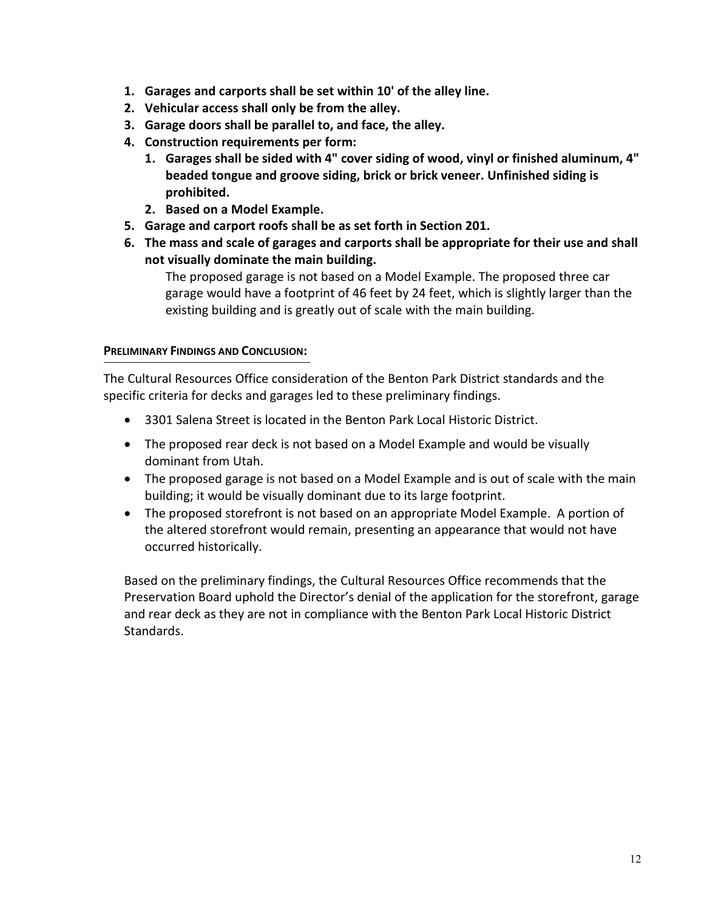- **1. Garages and carports shall be set within 10' of the alley line.**
- **2. Vehicular access shall only be from the alley.**
- **3. Garage doors shall be parallel to, and face, the alley.**
- **4. Construction requirements per form:** 
	- **1. Garages shall be sided with 4" cover siding of wood, vinyl or finished aluminum, 4" beaded tongue and groove siding, brick or brick veneer. Unfinished siding is prohibited.**
	- **2. Based on a Model Example.**
- **5. Garage and carport roofs shall be as set forth in Section 201.**
- **6. The mass and scale of garages and carports shall be appropriate for their use and shall not visually dominate the main building.**

The proposed garage is not based on a Model Example. The proposed three car garage would have a footprint of 46 feet by 24 feet, which is slightly larger than the existing building and is greatly out of scale with the main building.

### **PRELIMINARY FINDINGS AND CONCLUSION:**

The Cultural Resources Office consideration of the Benton Park District standards and the specific criteria for decks and garages led to these preliminary findings.

- 3301 Salena Street is located in the Benton Park Local Historic District.
- The proposed rear deck is not based on a Model Example and would be visually dominant from Utah.
- The proposed garage is not based on a Model Example and is out of scale with the main building; it would be visually dominant due to its large footprint.
- The proposed storefront is not based on an appropriate Model Example. A portion of the altered storefront would remain, presenting an appearance that would not have occurred historically.

Based on the preliminary findings, the Cultural Resources Office recommends that the Preservation Board uphold the Director's denial of the application for the storefront, garage and rear deck as they are not in compliance with the Benton Park Local Historic District Standards.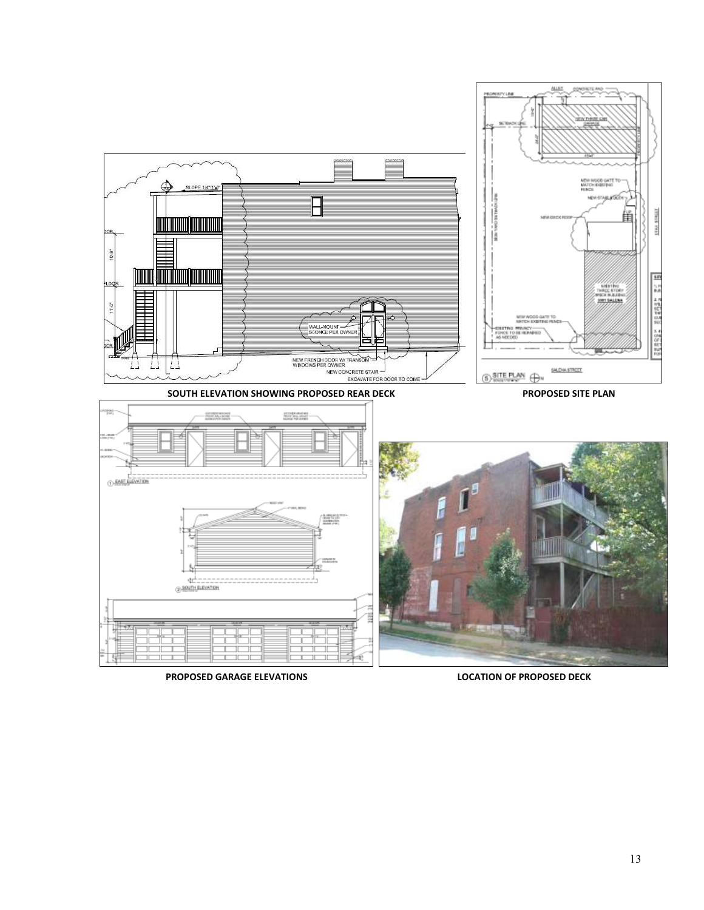

**PROPOSED GARAGE ELEVATIONS LOCATION OF PROPOSED DECK**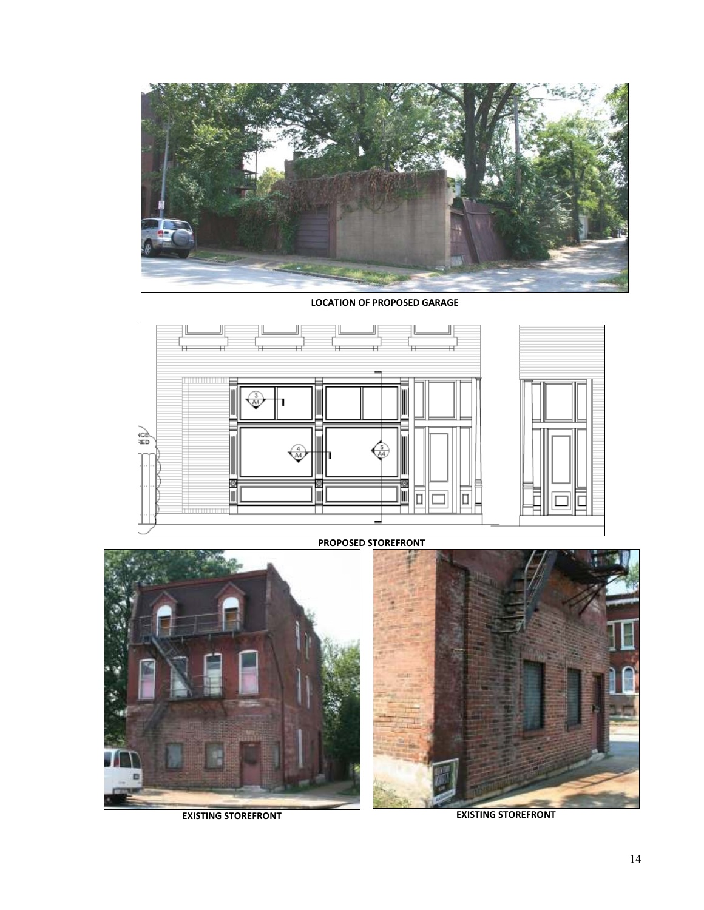

**LOCATION OF PROPOSED GARAGE**



**PROPOSED STOREFRONT**





**EXISTING STOREFRONT EXISTING STOREFRONT**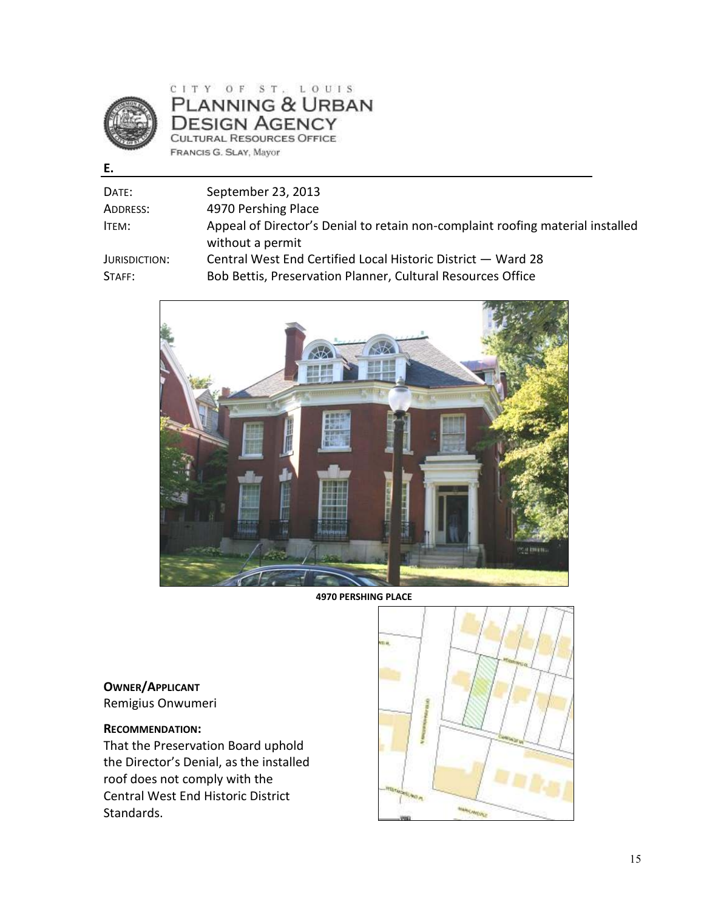

**E.** 

## CITY OF ST. LOUIS PLANNING & URBAN **DESIGN AGENCY** CULTURAL RESOURCES OFFICE FRANCIS G. SLAY, Mayor

| DATE:         | September 23, 2013                                                                                 |
|---------------|----------------------------------------------------------------------------------------------------|
| ADDRESS:      | 4970 Pershing Place                                                                                |
| ITEM:         | Appeal of Director's Denial to retain non-complaint roofing material installed<br>without a permit |
| JURISDICTION: | Central West End Certified Local Historic District - Ward 28                                       |
| STAFF:        | Bob Bettis, Preservation Planner, Cultural Resources Office                                        |



**4970 PERSHING PLACE** 

**OWNER/APPLICANT** Remigius Onwumeri

### **RECOMMENDATION:**

That the Preservation Board uphold the Director's Denial, as the installed roof does not comply with the Central West End Historic District Standards.

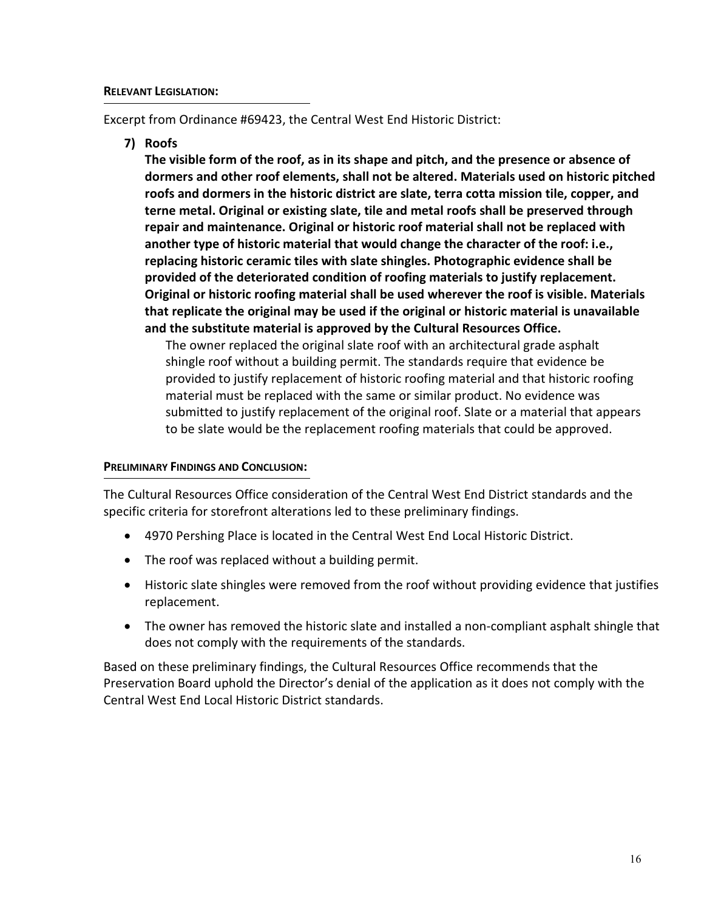Excerpt from Ordinance #69423, the Central West End Historic District:

**7) Roofs** 

**The visible form of the roof, as in its shape and pitch, and the presence or absence of dormers and other roof elements, shall not be altered. Materials used on historic pitched roofs and dormers in the historic district are slate, terra cotta mission tile, copper, and terne metal. Original or existing slate, tile and metal roofs shall be preserved through repair and maintenance. Original or historic roof material shall not be replaced with another type of historic material that would change the character of the roof: i.e., replacing historic ceramic tiles with slate shingles. Photographic evidence shall be provided of the deteriorated condition of roofing materials to justify replacement. Original or historic roofing material shall be used wherever the roof is visible. Materials that replicate the original may be used if the original or historic material is unavailable and the substitute material is approved by the Cultural Resources Office.** 

The owner replaced the original slate roof with an architectural grade asphalt shingle roof without a building permit. The standards require that evidence be provided to justify replacement of historic roofing material and that historic roofing material must be replaced with the same or similar product. No evidence was submitted to justify replacement of the original roof. Slate or a material that appears to be slate would be the replacement roofing materials that could be approved.

#### **PRELIMINARY FINDINGS AND CONCLUSION:**

The Cultural Resources Office consideration of the Central West End District standards and the specific criteria for storefront alterations led to these preliminary findings.

- 4970 Pershing Place is located in the Central West End Local Historic District.
- The roof was replaced without a building permit.
- Historic slate shingles were removed from the roof without providing evidence that justifies replacement.
- The owner has removed the historic slate and installed a non-compliant asphalt shingle that does not comply with the requirements of the standards.

Based on these preliminary findings, the Cultural Resources Office recommends that the Preservation Board uphold the Director's denial of the application as it does not comply with the Central West End Local Historic District standards.